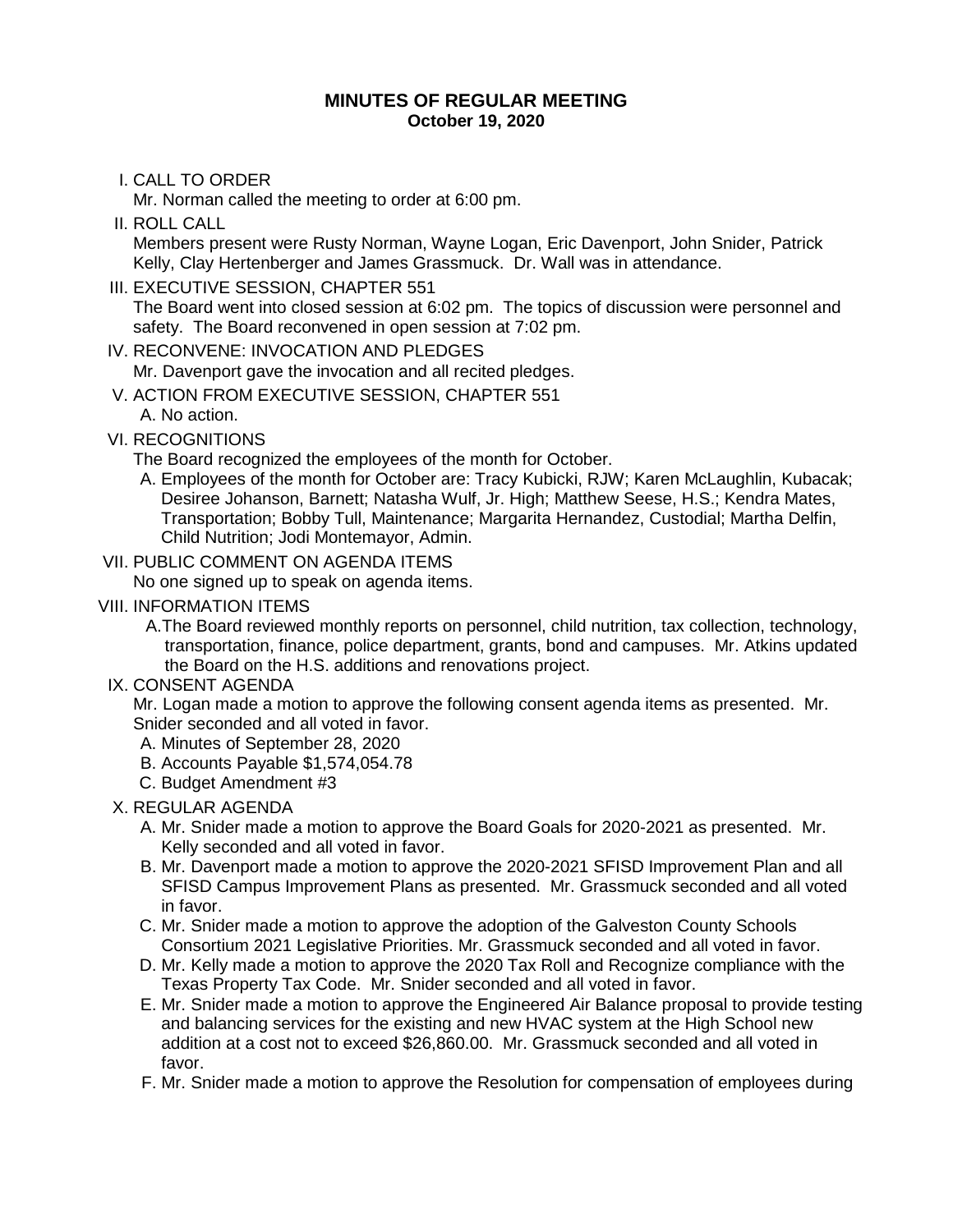#### **MINUTES OF REGULAR MEETING October 19, 2020**

# I. CALL TO ORDER

Mr. Norman called the meeting to order at 6:00 pm.

- II. ROLL CALL Members present were Rusty Norman, Wayne Logan, Eric Davenport, John Snider, Patrick Kelly, Clay Hertenberger and James Grassmuck. Dr. Wall was in attendance.
- III. EXECUTIVE SESSION, CHAPTER 551

The Board went into closed session at 6:02 pm. The topics of discussion were personnel and safety. The Board reconvened in open session at 7:02 pm.

## IV. RECONVENE: INVOCATION AND PLEDGES

Mr. Davenport gave the invocation and all recited pledges.

V. ACTION FROM EXECUTIVE SESSION, CHAPTER 551

A. No action.

# VI. RECOGNITIONS

The Board recognized the employees of the month for October.

- A. Employees of the month for October are: Tracy Kubicki, RJW; Karen McLaughlin, Kubacak; Desiree Johanson, Barnett; Natasha Wulf, Jr. High; Matthew Seese, H.S.; Kendra Mates, Transportation; Bobby Tull, Maintenance; Margarita Hernandez, Custodial; Martha Delfin, Child Nutrition; Jodi Montemayor, Admin.
- VII. PUBLIC COMMENT ON AGENDA ITEMS

No one signed up to speak on agenda items.

## VIII. INFORMATION ITEMS

A.The Board reviewed monthly reports on personnel, child nutrition, tax collection, technology, transportation, finance, police department, grants, bond and campuses. Mr. Atkins updated the Board on the H.S. additions and renovations project.

## IX. CONSENT AGENDA

Mr. Logan made a motion to approve the following consent agenda items as presented. Mr. Snider seconded and all voted in favor.

- A. Minutes of September 28, 2020
- B. Accounts Payable \$1,574,054.78
- C. Budget Amendment #3

## X. REGULAR AGENDA

- A. Mr. Snider made a motion to approve the Board Goals for 2020-2021 as presented. Mr. Kelly seconded and all voted in favor.
- B. Mr. Davenport made a motion to approve the 2020-2021 SFISD Improvement Plan and all SFISD Campus Improvement Plans as presented. Mr. Grassmuck seconded and all voted in favor.
- C. Mr. Snider made a motion to approve the adoption of the Galveston County Schools Consortium 2021 Legislative Priorities. Mr. Grassmuck seconded and all voted in favor.
- D. Mr. Kelly made a motion to approve the 2020 Tax Roll and Recognize compliance with the Texas Property Tax Code. Mr. Snider seconded and all voted in favor.
- E. Mr. Snider made a motion to approve the Engineered Air Balance proposal to provide testing and balancing services for the existing and new HVAC system at the High School new addition at a cost not to exceed \$26,860.00. Mr. Grassmuck seconded and all voted in favor.
- F. Mr. Snider made a motion to approve the Resolution for compensation of employees during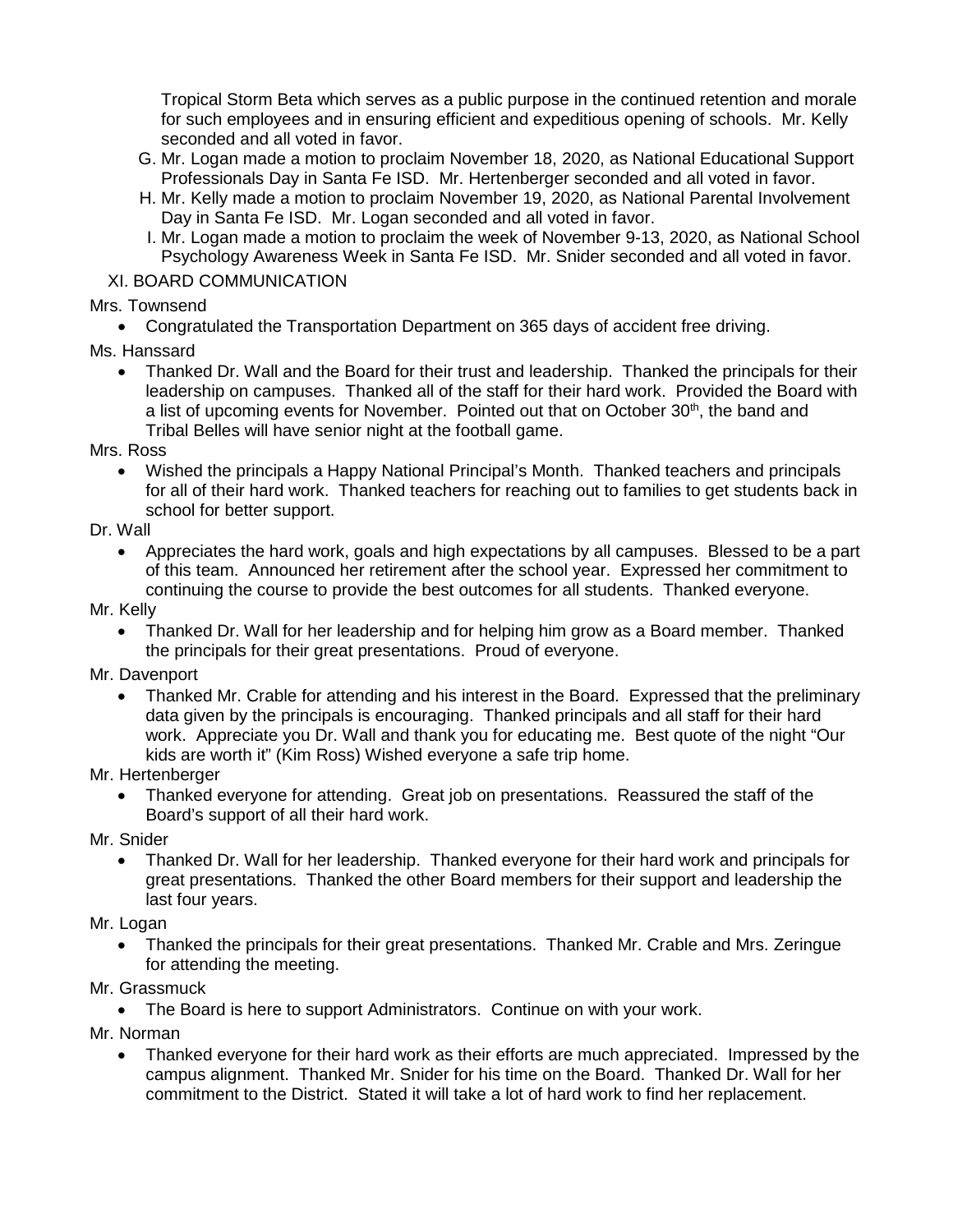Tropical Storm Beta which serves as a public purpose in the continued retention and morale for such employees and in ensuring efficient and expeditious opening of schools. Mr. Kelly seconded and all voted in favor.

- G. Mr. Logan made a motion to proclaim November 18, 2020, as National Educational Support Professionals Day in Santa Fe ISD. Mr. Hertenberger seconded and all voted in favor.
- H. Mr. Kelly made a motion to proclaim November 19, 2020, as National Parental Involvement Day in Santa Fe ISD. Mr. Logan seconded and all voted in favor.
- I. Mr. Logan made a motion to proclaim the week of November 9-13, 2020, as National School Psychology Awareness Week in Santa Fe ISD. Mr. Snider seconded and all voted in favor.

#### XI. BOARD COMMUNICATION

Mrs. Townsend

• Congratulated the Transportation Department on 365 days of accident free driving.

Ms. Hanssard

• Thanked Dr. Wall and the Board for their trust and leadership. Thanked the principals for their leadership on campuses. Thanked all of the staff for their hard work. Provided the Board with a list of upcoming events for November. Pointed out that on October 30<sup>th</sup>, the band and Tribal Belles will have senior night at the football game.

Mrs. Ross

• Wished the principals a Happy National Principal's Month. Thanked teachers and principals for all of their hard work. Thanked teachers for reaching out to families to get students back in school for better support.

Dr. Wall

• Appreciates the hard work, goals and high expectations by all campuses. Blessed to be a part of this team. Announced her retirement after the school year. Expressed her commitment to continuing the course to provide the best outcomes for all students. Thanked everyone.

Mr. Kelly

• Thanked Dr. Wall for her leadership and for helping him grow as a Board member. Thanked the principals for their great presentations. Proud of everyone.

Mr. Davenport

• Thanked Mr. Crable for attending and his interest in the Board. Expressed that the preliminary data given by the principals is encouraging. Thanked principals and all staff for their hard work. Appreciate you Dr. Wall and thank you for educating me. Best quote of the night "Our kids are worth it" (Kim Ross) Wished everyone a safe trip home.

Mr. Hertenberger

• Thanked everyone for attending. Great job on presentations. Reassured the staff of the Board's support of all their hard work.

Mr. Snider

• Thanked Dr. Wall for her leadership. Thanked everyone for their hard work and principals for great presentations. Thanked the other Board members for their support and leadership the last four years.

Mr. Logan

• Thanked the principals for their great presentations. Thanked Mr. Crable and Mrs. Zeringue for attending the meeting.

Mr. Grassmuck

• The Board is here to support Administrators. Continue on with your work.

Mr. Norman

• Thanked everyone for their hard work as their efforts are much appreciated. Impressed by the campus alignment. Thanked Mr. Snider for his time on the Board. Thanked Dr. Wall for her commitment to the District. Stated it will take a lot of hard work to find her replacement.